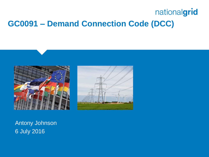## nationalgrid **GC0091 – Demand Connection Code (DCC)**





Antony Johnson 6 July 2016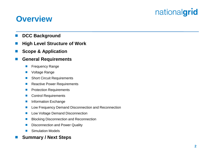#### **Overview**

- **DCC Background**
- **High Level Structure of Work**
- **Scope & Application**

#### **General Requirements**

- **Filte Frequency Range**
- **Noltage Range**
- Short Circuit Requirements
- Reactive Power Requirements
- **Protection Requirements**
- Control Requirements
- **Information Exchange**
- **Low Frequency Demand Disconnection and Reconnection**
- **Low Voltage Demand Disconnection**
- **Blocking Disconnection and Reconnection**
- **Disconnection and Power Quality**
- **Simulation Models**

#### **Summary / Next Steps**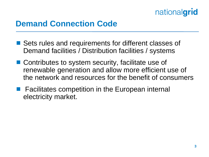#### **Demand Connection Code**

- Sets rules and requirements for different classes of Demand facilities / Distribution facilities / systems
- Contributes to system security, facilitate use of renewable generation and allow more efficient use of the network and resources for the benefit of consumers
- **Facilitates competition in the European internal** electricity market.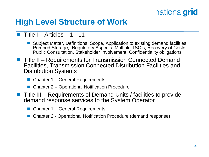#### **High Level Structure of Work**

- $\blacksquare$  Title I Articles 1 11
	- Subject Matter, Definitions, Scope, Application to existing demand facilities, Pumped Storage, Regulatory Aspects, Multiple TSO's, Recovery of Costs, Public Consultation, Stakeholder Involvement, Confidentiality obligations
- Title II Requirements for Transmission Connected Demand Facilities, Transmission Connected Distribution Facilities and Distribution Systems
	- Chapter 1 General Requirements
	- Chapter 2 Operational Notification Procedure
- Title III Requirements of Demand Units / facilities to provide demand response services to the System Operator
	- Chapter 1 General Requirements
	- Chapter 2 Operational Notification Procedure (demand response)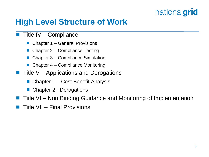### **High Level Structure of Work**

#### $\blacksquare$  Title IV – Compliance

- Chapter 1 General Provisions
- Chapter 2 Compliance Testing
- Chapter 3 Compliance Simulation
- Chapter 4 Compliance Monitoring
- Title V Applications and Derogations
	- Chapter 1 Cost Benefit Analysis
	- Chapter 2 Derogations
- Title VI Non Binding Guidance and Monitoring of Implementation
- Title VII Final Provisions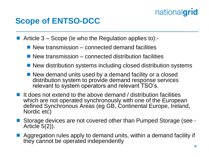#### **Scope of ENTSO-DCC**

Article 3 – Scope (ie who the Regulation applies to):-

- $\blacksquare$  New transmission connected demand facilities
- $\blacksquare$  New transmission connected distribution facilities
- New distribution systems including closed distribution systems
- New demand units used by a demand facility or a closed distribution system to provide demand response services relevant to system operators and relevant TSO's.
- It does not extend to the above demand / distribution facilities which are not operated synchronously with one of the European defined Synchronous Areas (eg GB, Continental Europe, Ireland, Nordic etc)
- Storage devices are not covered other than Pumped Storage (see Article  $5(2)$ ).
- Aggregation rules apply to demand units, within a demand facility if they cannot be operated independently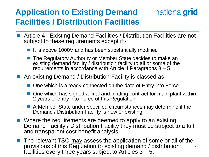### **Application to Existing Demand Facilities / Distribution Facilities**

- Article 4 Existing Demand Facilities / Distribution Facilities are not subject to these requirements except if:-
	- $\blacksquare$  It is above 1000V and has been substantially modified
	- The Regulatory Authority or Member State decides to make an existing demand facility / distribution facility to all or some of the requirements in accordance with Article 4 Paragraphs 3 – 5
- An existing Demand / Distribution Facility is classed as:-
	- One which is already connected on the date of Entry into Force
	- $\blacksquare$  One which has signed a final and binding contract for main plant within 2 years of entry into Force of this Regulation
	- A Member State under specified circumstances may determine if the Demand / Distribution Facility is new or existing
- Where the requirements are deemed to apply to an existing Demand Facility / Distribution Facility they must be subject to a full and transparent cost benefit analysis
- **7** The relevant TSO may assess the application of some or all of the provisions of this Regulation to existing demand / distribution facilities every three years subject to Articles  $3 - 5$ .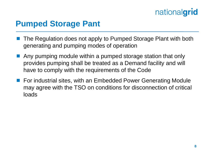#### **Pumped Storage Pant**

- The Regulation does not apply to Pumped Storage Plant with both generating and pumping modes of operation
- Any pumping module within a pumped storage station that only provides pumping shall be treated as a Demand facility and will have to comply with the requirements of the Code
- For industrial sites, with an Embedded Power Generating Module may agree with the TSO on conditions for disconnection of critical loads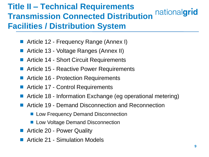## **Title II – Technical Requirements Transmission Connected Distribution** nationalgrid **Facilities / Distribution System**

- Article 12 Frequency Range (Annex I)
- Article 13 Voltage Ranges (Annex II)
- Article 14 Short Circuit Requirements
- Article 15 Reactive Power Requirements
- Article 16 Protection Requirements
- Article 17 Control Requirements
- Article 18 Information Exchange (eg operational metering)
- Article 19 Demand Disconnection and Reconnection
	- **Low Frequency Demand Disconnection**
	- **Low Voltage Demand Disconnection**
- Article 20 Power Quality
- Article 21 Simulation Models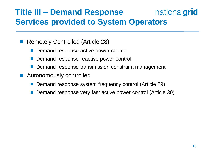#### nationalgrid **Title III – Demand Response Services provided to System Operators**

- Remotely Controlled (Article 28)
	- Demand response active power control
	- Demand response reactive power control
	- Demand response transmission constraint management
- **Autonomously controlled** 
	- Demand response system frequency control (Article 29)
	- Demand response very fast active power control (Article 30)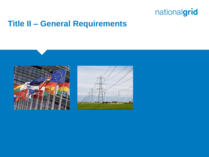#### **Title II – General Requirements**



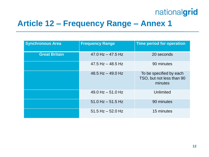### **Article 12 – Frequency Range – Annex 1**

| <b>Synchronous Area</b> | <b>Frequency Range</b> | <b>Time period for operation</b>                                |
|-------------------------|------------------------|-----------------------------------------------------------------|
| <b>Great Britain</b>    | $47.0$ Hz $- 47.5$ Hz  | 20 seconds                                                      |
|                         | $47.5$ Hz $-$ 48.5 Hz  | 90 minutes                                                      |
|                         | 48.5 Hz $-$ 49.0 Hz    | To be specified by each<br>TSO, but not less than 90<br>minutes |
|                         | $49.0$ Hz $-51.0$ Hz   | Unlimited                                                       |
|                         | $51.0$ Hz $-51.5$ Hz   | 90 minutes                                                      |
|                         | $51.5$ Hz $-52.0$ Hz   | 15 minutes                                                      |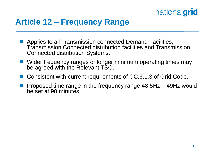

#### **Article 12 – Frequency Range**

- **Applies to all Transmission connected Demand Facilities,** Transmission Connected distribution facilities and Transmission Connected distribution Systems.
- Wider frequency ranges or longer minimum operating times may be agreed with the Relevant TSO.
- Consistent with current requirements of CC.6.1.3 of Grid Code.
- Proposed time range in the frequency range 48.5Hz 49Hz would be set at 90 minutes.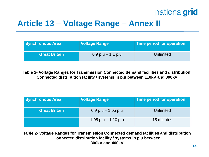### **Article 13 – Voltage Range – Annex II**

| <b>Synchronous Area</b> | <b>Voltage Range</b>  | Time period for operation |
|-------------------------|-----------------------|---------------------------|
| <b>Great Britain</b>    | $0.9$ p.u $-$ 1.1 p.u | Unlimited                 |

**Table 2- Voltage Ranges for Transmission Connected demand facilities and distribution Connected distribution facility / systems in p.u between 110kV and 300kV**

| <b>Synchronous Area</b> | <b>Voltage Range</b>   | Time period for operation |
|-------------------------|------------------------|---------------------------|
| <b>Great Britain</b>    | $0.9$ p.u $-1.05$ p.u  | <b>Unlimited</b>          |
|                         | $1.05$ p.u $-1.10$ p.u | 15 minutes                |

**Table 2- Voltage Ranges for Transmission Connected demand facilities and distribution Connected distribution facility / systems in p.u between 300kV and 400kV**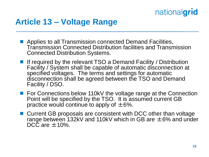#### **Article 13 – Voltage Range**

- **Applies to all Transmission connected Demand Facilities,** Transmission Connected Distribution facilities and Transmission Connected Distribution Systems.
- **If required by the relevant TSO a Demand Facility / Distribution** Facility / System shall be capable of automatic disconnection at specified voltages. The terms and settings for automatic disconnection shall be agreed between the TSO and Demand Facility / DSO.
- **For Connections below 110kV the voltage range at the Connection** Point will be specified by the TSO. It is assumed current GB practice would continue to apply of  $\pm 6\%$ .
- Current GB proposals are consistent with DCC other than voltage range between 132kV and 110kV which in GB are  $\pm 6\%$  and under DCC are  $\pm$ 10%.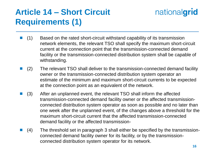## **Article 14 – Short Circuit Requirements (1)**

- $(1)$  Based on the rated short-circuit withstand capability of its transmission network elements, the relevant TSO shall specify the maximum short-circuit current at the connection point that the transmission-connected demand facility or the transmission-connected distribution system shall be capable of withstanding.
- (2) The relevant TSO shall deliver to the transmission-connected demand facility owner or the transmission-connected distribution system operator an estimate of the minimum and maximum short-circuit currents to be expected at the connection point as an equivalent of the network.
- $\blacksquare$  (3) After an unplanned event, the relevant TSO shall inform the affected transmission-connected demand facility owner or the affected transmissionconnected distribution system operator as soon as possible and no later than one week after the unplanned event, of the changes above a threshold for the maximum short-circuit current that the affected transmission-connected demand facility or the affected transmission-
- (4) The threshold set in paragraph 3 shall either be specified by the transmissionconnected demand facility owner for its facility, or by the transmissionconnected distribution system operator for its network.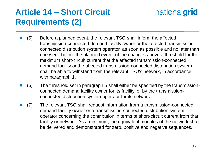## **Article 14 – Short Circuit Requirements (2)**

- (5) Before a planned event, the relevant TSO shall inform the affected transmission-connected demand facility owner or the affected transmissionconnected distribution system operator, as soon as possible and no later than one week before the planned event, of the changes above a threshold for the maximum short-circuit current that the affected transmission-connected demand facility or the affected transmission-connected distribution system shall be able to withstand from the relevant TSO's network, in accordance with paragraph 1.
- (6) The threshold set in paragraph 5 shall either be specified by the transmissionconnected demand facility owner for its facility, or by the transmissionconnected distribution system operator for its network.
- (7) The relevant TSO shall request information from a transmission-connected demand facility owner or a transmission-connected distribution system operator concerning the contribution in terms of short-circuit current from that facility or network. As a minimum, the equivalent modules of the network shall be delivered and demonstrated for zero, positive and negative sequences.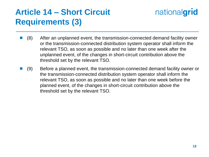## **Article 14 – Short Circuit Requirements (3)**

- (8) After an unplanned event, the transmission-connected demand facility owner or the transmission-connected distribution system operator shall inform the relevant TSO, as soon as possible and no later than one week after the unplanned event, of the changes in short-circuit contribution above the threshold set by the relevant TSO.
- (9) Before a planned event, the transmission-connected demand facility owner or the transmission-connected distribution system operator shall inform the relevant TSO, as soon as possible and no later than one week before the planned event, of the changes in short-circuit contribution above the threshold set by the relevant TSO.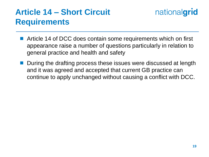### **Article 14 – Short Circuit Requirements**

- Article 14 of DCC does contain some requirements which on first appearance raise a number of questions particularly in relation to general practice and health and safety
- During the drafting process these issues were discussed at length and it was agreed and accepted that current GB practice can continue to apply unchanged without causing a conflict with DCC.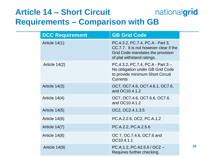#### nationalgrid **Article 14 – Short Circuit Requirements – Comparison with GB**

| <b>DCC Requirement</b> | <b>GB Grid Code</b>                                                                                                                          |
|------------------------|----------------------------------------------------------------------------------------------------------------------------------------------|
| Article 14(1)          | PC.4.3.2, PC.7.4, PC.A - Part 3,<br>CC.7.7. It is not however clear if the<br>Grid Code mandates the provision<br>of plat withstand ratings. |
| Article $14(2)$        | PC.4.3.2, PC.7.4, PC.A - Part 3 -<br>No obligation under GB Grid Code<br>to provide minimum Short Circuit<br><b>Currents</b>                 |
| Article $14(3)$        | OC7, OC7.4.6, OC7.4.6.1, OC7.6,<br>and OC10.4.1.2                                                                                            |
| Article $14(4)$        | OC7, OC7.4.6, OC7.6.6, OC7.6.<br>and OC10.4.1.2                                                                                              |
| Article 14(5)          | OC2, OC2.4.1.3.5                                                                                                                             |
| Article 14(6)          | PC.A.2.2.6, OC2, PC.A.1.2                                                                                                                    |
| Article 14(7)          | PC.A.2.2, PC.A.2.5.6                                                                                                                         |
| Article 14(8)          | OC 7, OC 7.4.6, OC7.6 and<br>OC10.4.1.1                                                                                                      |
| Article 14(9)          | $PC.A.1.2, PC.A2.5.6 / OC2 -$<br>Requires further checking.                                                                                  |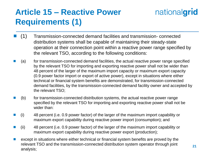## **Article 15 – Reactive Power Requirements (1)**

- (1) Transmission-connected demand facilities and transmission- connected distribution systems shall be capable of maintaining their steady-state operation at their connection point within a reactive power range specified by the relevant TSO, according to the following conditions:
- (a) for transmission-connected demand facilities, the actual reactive power range specified by the relevant TSO for importing and exporting reactive power shall not be wider than 48 percent of the larger of the maximum import capacity or maximum export capacity (0.9 power factor import or export of active power), except in situations where either technical or financial system benefits are demonstrated, for transmission-connected demand facilities, by the transmission-connected demand facility owner and accepted by the relevant TSO;
- (b) for transmission-connected distribution systems, the actual reactive power range specified by the relevant TSO for importing and exporting reactive power shall not be wider than:
- (i) 48 percent (i.e. 0.9 power factor) of the larger of the maximum import capability or maximum export capability during reactive power import (consumption); and
- (ii) 48 percent (i.e. 0.9 power factor) of the larger of the maximum import capability or maximum export capability during reactive power export (production);
- except in situations where either technical or financial system benefits are proved by the relevant TSO and the transmission-connected distribution system operator through joint analysis;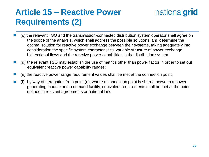## **Article 15 – Reactive Power Requirements (2)**

- (c) the relevant TSO and the transmission-connected distribution system operator shall agree on the scope of the analysis, which shall address the possible solutions, and determine the optimal solution for reactive power exchange between their systems, taking adequately into consideration the specific system characteristics, variable structure of power exchange bidirectional flows and the reactive power capabilities in the distribution system
- (d) the relevant TSO may establish the use of metrics other than power factor in order to set out equivalent reactive power capability ranges;
- (e) the reactive power range requirement values shall be met at the connection point;
- by way of derogation from point (e), where a connection point is shared between a power generating module and a demand facility, equivalent requirements shall be met at the point defined in relevant agreements or national law.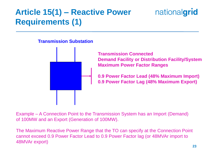## **Article 15(1) – Reactive Power Requirements (1)**

### nationalgrid





**Transmission Connected Demand Facility or Distribution Facility/System Maximum Power Factor Ranges**

**0.9 Power Factor Lead (48% Maximum Import) 0.9 Power Factor Lag (48% Maximum Export)**

Example – A Connection Point to the Transmission System has an Import (Demand) of 100MW and an Export (Generation of 100MW).

The Maximum Reactive Power Range that the TO can specify at the Connection Point cannot exceed 0.9 Power Factor Lead to 0.9 Power Factor lag (or 48MVAr import to 48MVAr export)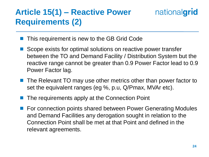## **Article 15(1) – Reactive Power Requirements (2)**



- This requirement is new to the GB Grid Code
- Scope exists for optimal solutions on reactive power transfer between the TO and Demand Facility / Distribution System but the reactive range cannot be greater than 0.9 Power Factor lead to 0.9 Power Factor lag.
- **The Relevant TO may use other metrics other than power factor to** set the equivalent ranges (eg %, p.u, Q/Pmax, MVAr etc).
- The requirements apply at the Connection Point
- For connection points shared between Power Generating Modules and Demand Facilities any derogation sought in relation to the Connection Point shall be met at that Point and defined in the relevant agreements.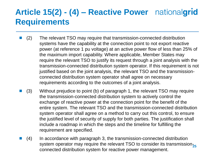### **Article 15(2) - (4) – Reactive Power Requirements**

- (2) The relevant TSO may require that transmission-connected distribution systems have the capability at the connection point to not export reactive power (at reference 1 pu voltage) at an active power flow of less than 25% of the maximum import capability. Where applicable, Member States may require the relevant TSO to justify its request through a joint analysis with the transmission-connected distribution system operator. If this requirement is not justified based on the joint analysis, the relevant TSO and the transmissionconnected distribution system operator shall agree on necessary requirements according to the outcomes of a joint analysis.
- (3) Without prejudice to point (b) of paragraph 1, the relevant TSO may require the transmission-connected distribution system to actively control the exchange of reactive power at the connection point for the benefit of the entire system. The relevant TSO and the transmission-connected distribution system operator shall agree on a method to carry out this control, to ensure the justified level of security of supply for both parties. The justification shall include a roadmap in which the steps and the timeline for fulfilling the requirement are specified.
- system operator may require the relevant TSO to consider its transmission<sub>25</sub> (4) In accordance with paragraph 3, the transmission-connected distribution connected distribution system for reactive power management.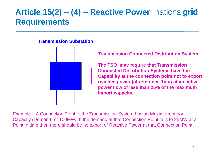## **Article 15(2) – (4) – Reactive Power Requirements**

#### **Transmission Substation**



**Transmission Connected Distribution System**

**The TSO may require that Transmission Connected Distribution Systems have the Capability at the connection point not to export reactive power (at reference 1p.u) at an active power flow of less than 25% of the maximum Import capacity.** 

Example – A Connection Point to the Transmission System has an Maximum Import Capacity (Demand) of 100MW. If the demand at that Connection Point falls to 25MW at a Point in time then there should be no export of Reactive Power at that Connection Point.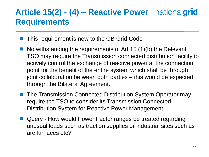## **Article 15(2) - (4) – Reactive Power Requirements**

- This requirement is new to the GB Grid Code
- Notwithstanding the requirements of Art 15  $(1)(b)$  the Relevant TSO may require the Transmission connected distribution facility to actively control the exchange of reactive power at the connection point for the benefit of the entire system which shall be through joint collaboration between both parties – this would be expected through the Bilateral Agreement.
- The Transmission Connected Distribution System Operator may require the TSO to consider its Transmission Connected Distribution System for Reactive Power Management.
- Query How would Power Factor ranges be treated regarding unusual loads such as traction supplies or industrial sites such as arc furnaces etc?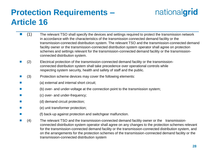### **Protection Requirements – Article 16**

- (1) The relevant TSO shall specify the devices and settings required to protect the transmission network in accordance with the characteristics of the transmission connected demand facility or the transmission-connected distribution system. The relevant TSO and the transmission-connected demand facility owner or the transmission-connected distribution system operator shall agree on protection schemes and settings relevant for the transmission-connected demand facility or the transmissionconnected distribution system.
- (2) Electrical protection of the transmission-connected demand facility or the transmissionconnected distribution system shall take precedence over operational controls while respecting system security, health and safety of staff and the public.
- (3) Protection scheme devices may cover the following elements:
- (a) external and internal short circuit;
- (b) over- and under-voltage at the connection point to the transmission system;
- **Example 20** (c) over- and under-frequency;
- **Example 12** (d) demand circuit protection;
- (e) unit transformer protection;
- (f) back-up against protection and switchgear malfunction.
- (4) The relevant TSO and the transmission-connected demand facility owner or the transmissionconnected distribution system operator shall agree on any changes to the protection schemes relevant for the transmission-connected demand facility or the transmission-connected distribution system, and on the arrangements for the protection schemes of the transmission-connected demand facility or the transmission-connected distribution system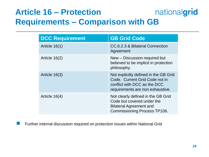#### **Article 16 – Protection** nationalgrid **Requirements – Comparison with GB**

| <b>DCC Requirement</b> | <b>GB Grid Code</b>                                                                                                                         |
|------------------------|---------------------------------------------------------------------------------------------------------------------------------------------|
| Article $16(1)$        | CC.6.2.3 & Bilateral Connection<br>Agreement                                                                                                |
| Article 16(2)          | New – Discussion required but<br>believed to be implicit in protection<br>philosophy.                                                       |
| Article $16(3)$        | Not explicitly defined in the GB Grid<br>Code. Current Grid Code not in<br>conflict with DCC as the DCC<br>requirements are non exhaustive. |
| Article $16(4)$        | Not clearly defined in the GB Grid<br>Code but covered under the<br><b>Bilateral Agreement and</b><br><b>Commissioning Process TP106.</b>   |

**Further internal discussion required on protection issues within National Grid**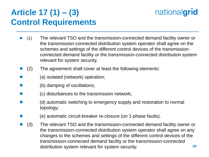## **Article 17 (1) – (3) Control Requirements**

- (1) The relevant TSO and the transmission-connected demand facility owner or the transmission-connected distribution system operator shall agree on the schemes and settings of the different control devices of the transmissionconnected demand facility or the transmission-connected distribution system relevant for system security.
- (2) The agreement shall cover at least the following elements:
- **E** (a) isolated (network) operation;
- **E** (b) damping of oscillations;
- $\blacksquare$  (c) disturbances to the transmission network;
- **EXECUTE:** (d) automatic switching to emergency supply and restoration to normal topology;
- **Example 20** (e) automatic circuit-breaker re-closure (on 1-phase faults).
- **30** ■ (3) The relevant TSO and the transmission-connected demand facility owner or the transmission-connected distribution system operator shall agree on any changes to the schemes and settings of the different control devices of the transmission-connected demand facility or the transmission-connected distribution system relevant for system security.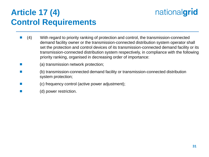### **Article 17 (4) Control Requirements**



- (4) With regard to priority ranking of protection and control, the transmission-connected demand facility owner or the transmission-connected distribution system operator shall set the protection and control devices of its transmission-connected demand facility or its transmission-connected distribution system respectively, in compliance with the following priority ranking, organised in decreasing order of importance:
- **E** (a) transmission network protection;
- (b) transmission-connected demand facility or transmission-connected distribution system protection;
- **Example 20** (c) frequency control (active power adjustment);
- **Example 3** (d) power restriction.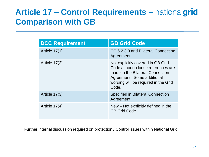## **Article 17 – Control Requirements – Comparison with GB**

| <b>DCC Requirement</b> | <b>GB Grid Code</b>                                                                                                                                                                        |
|------------------------|--------------------------------------------------------------------------------------------------------------------------------------------------------------------------------------------|
| Article 17(1)          | CC.6.2.3.3 and Bilateral Connection<br>Agreement                                                                                                                                           |
| Article $17(2)$        | Not explicitly covered in GB Grid<br>Code although loose references are<br>made in the Bilateral Connection<br>Agreement. Some additional<br>wording will be required in the Grid<br>Code. |
| Article 17(3)          | <b>Specified in Bilateral Connection</b><br>Agreement,                                                                                                                                     |
| Article $17(4)$        | New – Not explicitly defined in the<br><b>GB Grid Code.</b>                                                                                                                                |

Further internal discussion required on protection / Control issues within National Grid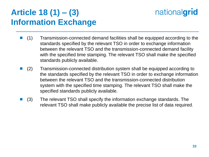## **Article 18 (1) – (3) Information Exchange**

- $\blacksquare$  (1) Transmission-connected demand facilities shall be equipped according to the standards specified by the relevant TSO in order to exchange information between the relevant TSO and the transmission-connected demand facility with the specified time stamping. The relevant TSO shall make the specified standards publicly available.
- (2) Transmission-connected distribution system shall be equipped according to the standards specified by the relevant TSO in order to exchange information between the relevant TSO and the transmission-connected distribution system with the specified time stamping. The relevant TSO shall make the specified standards publicly available.
- $(3)$  The relevant TSO shall specify the information exchange standards. The relevant TSO shall make publicly available the precise list of data required.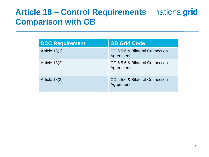## **Article 18 – Control Requirements Comparison with GB**

| <b>DCC Requirement</b> | <b>GB Grid Code</b>                          |
|------------------------|----------------------------------------------|
| Article 18(1)          | CC.6.5.6 & Bilateral Connection<br>Agreement |
| Article 18(2)          | CC.6.5.6 & Bilateral Connection<br>Agreement |
| Article 18(3)          | CC.6.5.6 & Bilateral Connection<br>Agreement |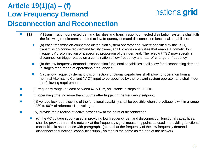#### **Article 19(1)(a) – (f) Low Frequency Demand**

## nationalgrid

#### **Disconnection and Reconnection**

- $\blacksquare$  (1) All transmission-connected demand facilities and transmission-connected distribution systems shall fulfil the following requirements related to low frequency demand disconnection functional capabilities:
	- $\blacksquare$  (a) each transmission-connected distribution system operator and, where specified by the TSO, transmission-connected demand facility owner, shall provide capabilities that enable automatic 'low frequency' disconnection of a specified proportion of their demand. The relevant TSO may specify a disconnection trigger based on a combination of low frequency and rate-of-change-of-frequency;
	- (b) the low frequency demand disconnection functional capabilities shall allow for disconnecting demand in stages for a range of operational frequencies;
	- (c) the low frequency demand disconnection functional capabilities shall allow for operation from a nominal Alternating Current ("AC") input to be specified by the relevant system operator, and shall meet the following requirements:
- (i) frequency range: at least between 47-50 Hz, adjustable in steps of 0.05Hz;
- **Example 10** (ii) operating time: no more than 150 ms after triggering the frequency setpoint;
- **EXECUTE:** (iii) voltage lock-out: blocking of the functional capability shall be possible when the voltage is within a range of 30 to 90% of reference 1 pu voltage;
- **EXECUTE:** (iv) provide the direction of active power flow at the point of disconnection;
	- (d) the AC voltage supply used in providing low frequency demand disconnection functional capabilities, shall be provided from the network at the frequency signal measuring point, as used in providing functional capabilities in accordance with paragraph 1(c), so that the frequency of the low frequency demand disconnection functional capabilities supply voltage is the same as the one of the network.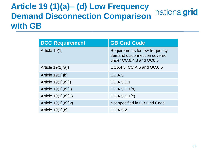#### **Article 19 (1)(a)– (d) Low Frequency**  nationalgrid **Demand Disconnection Comparison with GB**

| <b>DCC Requirement</b>  | <b>GB Grid Code</b>                                                                        |
|-------------------------|--------------------------------------------------------------------------------------------|
| Article 19(1)           | Requirements for low frequency<br>demand disconnection covered<br>under CC.6.4.3 and OC6.6 |
| Article $19(1)(a)$      | OC6.4.3, CC.A.5 and OC.6.6                                                                 |
| Article $19(1)$ )b)     | CC.A.5                                                                                     |
| Article $19(1)(c)(i)$   | CC.A.5.1.1                                                                                 |
| Article $19(1)(c)(ii)$  | CC.A.5.1.1(b)                                                                              |
| Article $19(1)(c)(iii)$ | CC.A.5.1.1(c)                                                                              |
| Article $19(1)(c)(iv)$  | Not specified in GB Grid Code                                                              |
| Article $19(1)(d)$      | CC.A.5.2                                                                                   |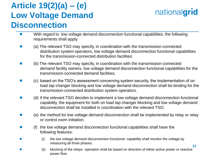## **Article 19(2)(a) – (e) Low Voltage Demand Disconnection**

- **EXECT** With regard to low voltage demand disconnection functional capabilities, the following requirements shall apply.
- (a) The relevant TSO may specify, in coordination with the transmission-connected distribution system operators, low voltage demand disconnection functional capabilities for the transmission-connected distribution facilities:
- (b) The relevant TSO may specify, in coordination with the transmission-connected demand facility owners, low voltage demand disconnection functional capabilities for the transmission-connected demand facilities;
- (c) based on the TSO's assessment concerning system security, the implementation of on load tap changer blocking and low voltage demand disconnection shall be binding for the transmission-connected distribution system operators.
- (d) if the relevant TSO decides to implement a low voltage demand disconnection functional capability, the equipment for both on load tap changer blocking and low voltage demand disconnection shall be installed in coordination with the relevant TSO;
- $\blacksquare$  (e) the method for low voltage demand disconnection shall be implemented by relay or relay or control room initiation.
- $\blacksquare$  (f) the low voltage demand disconnection functional capabilities shall have the following features:
- **Example 10** (i) the low voltage demand disconnection functional capability shall monitor the voltage by measuring all three phases.
- **Example 20** (ii) blocking of the relays operation shall be based on direction of either active power or reactive power flow.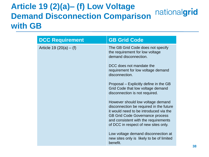#### **Article 19 (2)(a)– (f) Low Voltage**  nationalgrid **Demand Disconnection Comparison with GB**

| <b>DCC Requirement</b>   | <b>GB Grid Code</b>                                                                                                                                                                                                                              |
|--------------------------|--------------------------------------------------------------------------------------------------------------------------------------------------------------------------------------------------------------------------------------------------|
| Article 19 $(20(a) - f)$ | The GB Grid Code does not specify<br>the requirement for low voltage<br>demand disconnection.                                                                                                                                                    |
|                          | DCC does not mandate the<br>requirement for low voltage demand<br>disconnection.                                                                                                                                                                 |
|                          | Proposal – Explicitly define in the GB<br>Grid Code that low voltage demand<br>disconnection is not required.                                                                                                                                    |
|                          | However should low voltage demand<br>disconnection be required in the future<br>it would need to be introduced via the<br><b>GB Grid Code Governance process</b><br>and consistent with the requirements<br>of DCC in respect of new sites only. |
|                          | Low voltage demand disconnection at<br>new sites only is likely to be of limited<br>benefit.                                                                                                                                                     |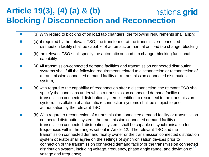#### **Article 19(3), (4) (a) & (b)** nationalgrid **Blocking / Disconnection and Reconnection**

- $\Box$  (3) With regard to blocking of on load tap changers, the following requirements shall apply:
- (a) if required by the relevant TSO, the transformer at the transmission-connected distribution facility shall be capable of automatic or manual on load tap changer blocking
- (b) the relevant TSO shall specify the automatic on load tap changer blocking functional capability.
- (4) All transmission-connected demand facilities and transmission connected distribution systems shall fufil the following requirements related to disconnection or reconnection of a transmission connected demand facility or a transmission connected distribution system;
- $\blacksquare$  (a) with regard to the capability of reconnection after a disconnection, the relevant TSO shall specify the conditions under which a transmission connected demand facility or transmission connected distribution system is entitled to reconnect to the transmission system. Installation of automatic reconnection systems shall be subject to prior authorisation by the relevant TSO.
- connection of the transmission connected demand facility or the transmission connected (b) With regard to reconnection of a transmission-connected demand facility or transmission connected distribution system, the transmission connected demand facility or transmission connected distribution system shall be capable of synchronisation for frequencies within the ranges set out in Article 12. The relevant TSO and the transmission connected demand facility owner or the transmission connected distribution system operator shall agree on the settings of synchronisation devices prior to distribution system, including voltage, frequency, phase angle range, and deviation of voltage and frequency;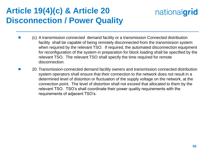### **Article 19(4)(c) & Article 20 Disconnection / Power Quality**

- (c) A transmission connected demand facility or a transmission Connected distribution facility shall be capable of being remotely disconnected from the transmission system when required by the relevant TSO. If required, the automated disconnection equipment for reconfiguration of the system in preparation for block loading shall be specified by the relevant TSO. The relevant TSO shall specify the time required for remote disconnection.
- 20 Transmission-connected demand facility owners and transmission connected distribution system operators shall ensure that their connection to the network does not result in a determined level of distortion or fluctuation of the supply voltage on the network, at the connection point. The level of distortion shall not exceed that allocated to them by the relevant TSO. TSO's shall coordinate their power quality requirements with the requirements of adjacent TSO's.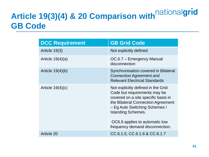# **Article 19(3)(4) & 20 Comparison with GB Code**

| <b>DCC Requirement</b> | <b>GB Grid Code</b>                                                                                                                                                                                                                                                                |
|------------------------|------------------------------------------------------------------------------------------------------------------------------------------------------------------------------------------------------------------------------------------------------------------------------------|
| Article 19(3)          | Not explicitly defined                                                                                                                                                                                                                                                             |
| Article $19(4)(a)$     | OC.6.7 – Emergency Manual<br>disconnection                                                                                                                                                                                                                                         |
| Article $19(4)(b)$     | Synchronisation covered in Bilateral<br><b>Connection Agreement and</b><br><b>Relevant Electrical Standards</b>                                                                                                                                                                    |
| Article $19(4)(c)$     | Not explicitly defined in the Grid<br>Code but requirements may be<br>covered on a site specific basis in<br>the Bilateral Connection Agreement<br>- Eg Auto Switching Schemes /<br><b>Islanding Schemes.</b><br>OC6.6 applies to automatic low<br>frequency demand disconnection. |
| <b>Article 20</b>      | CC.6.1.5, CC.6.1.6 & CC.6.1.7                                                                                                                                                                                                                                                      |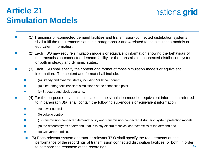### **Article 21 Simulation Models**

- (1) Transmission-connected demand facilities and transmission-connected distribution systems shall fulfil the requirements set out in paragraphs 3 and 4 related to the simulation models or equivalent information.
- (2) Each TSO may require simulation models or equivalent information showing the behaviour of the transmission-connected demand facility, or the transmission connected distribution system, or both in steady and dynamic states.
- (3) Each TSO shall specify the content and format of those simulation models or equivalent information. The content and format shall include:
	- (a) Steady and dynamic states, including 50Hz component;
	- (b) electromagnetic transient simulations at the connection point
	- (c) Structure and block diagrams.
- (4) For the purpose of dynamic simulations, the simulation model or equivalent information referred to in paragraph 3(a) shall contain the following sub-models or equivalent information;
	- (a) power control
	- (b) voltage control
	- (c) transmission-connected demand facility and transmission-connected distribution system protection models.
	- (d) the different types of demand, that is to say electro technical characteristics of the demand and
	- (e) Converter models.
	- **42** ■ (5) Each relevant system operator or relevant TSO shall specify the requirements of the performance of the recordings of transmission connected distribution facilities, or both, in order to compare the response of the recordings.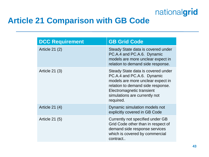

### **Article 21 Comparison with GB Code**

| <b>DCC Requirement</b> | <b>GB Grid Code</b>                                                                                                                                                                                                   |
|------------------------|-----------------------------------------------------------------------------------------------------------------------------------------------------------------------------------------------------------------------|
| Article 21 (2)         | Steady State data is covered under<br>PC.A.4 and PC.A.6. Dynamic<br>models are more unclear expect in<br>relation to demand side response.                                                                            |
| Article $21(3)$        | Steady State data is covered under<br>PC.A.4 and PC.A.6. Dynamic<br>models are more unclear expect in<br>relation to demand side response.<br>Electromagnetic transient<br>simulations are currently not<br>required. |
| Article 21 (4)         | Dynamic simulation models not<br>explicitly covered in GB Code                                                                                                                                                        |
| <b>Article 21 (5)</b>  | Currently not specified under GB<br>Grid Code other than in respect of<br>demand side response services<br>which is covered by commercial<br>contract                                                                 |